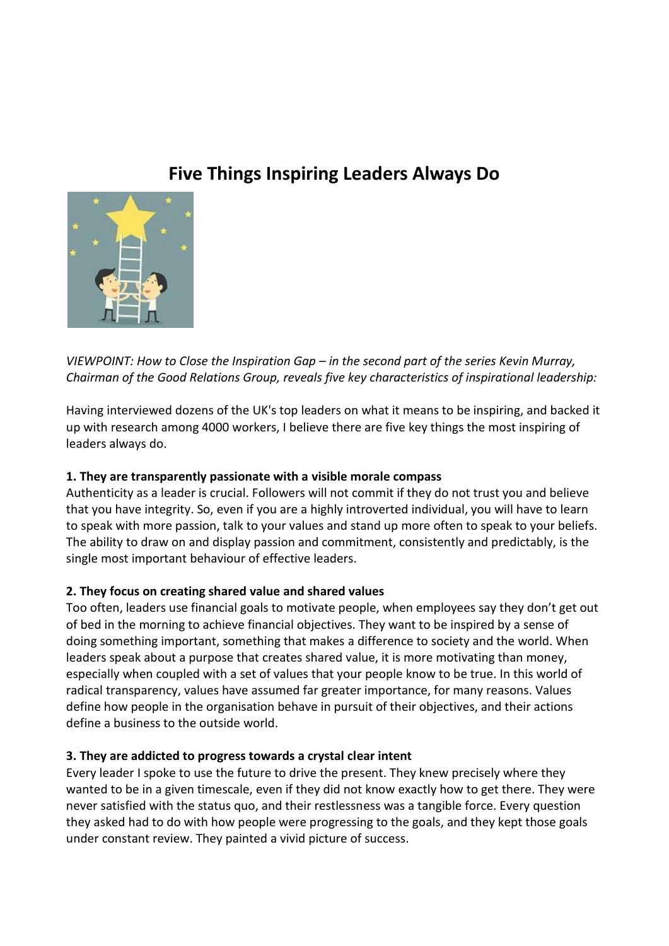# **Five Things Inspiring Leaders Always Do**



*VIEWPOINT: How to Close the Inspiration Gap – in the second part of the series Kevin Murray, Chairman of the Good Relations Group, reveals five key characteristics of inspirational leadership:*

Having interviewed dozens of the UK's top leaders on what it means to be inspiring, and backed it up with research among 4000 workers, I believe there are five key things the most inspiring of leaders always do.

## **1. They are transparently passionate with a visible morale compass**

Authenticity as a leader is crucial. Followers will not commit if they do not trust you and believe that you have integrity. So, even if you are a highly introverted individual, you will have to learn to speak with more passion, talk to your values and stand up more often to speak to your beliefs. The ability to draw on and display passion and commitment, consistently and predictably, is the single most important behaviour of effective leaders.

## **2. They focus on creating shared value and shared values**

Too often, leaders use financial goals to motivate people, when employees say they don't get out of bed in the morning to achieve financial objectives. They want to be inspired by a sense of doing something important, something that makes a difference to society and the world. When leaders speak about a purpose that creates shared value, it is more motivating than money, especially when coupled with a set of values that your people know to be true. In this world of radical transparency, values have assumed far greater importance, for many reasons. Values define how people in the organisation behave in pursuit of their objectives, and their actions define a business to the outside world.

## **3. They are addicted to progress towards a crystal clear intent**

Every leader I spoke to use the future to drive the present. They knew precisely where they wanted to be in a given timescale, even if they did not know exactly how to get there. They were never satisfied with the status quo, and their restlessness was a tangible force. Every question they asked had to do with how people were progressing to the goals, and they kept those goals under constant review. They painted a vivid picture of success.